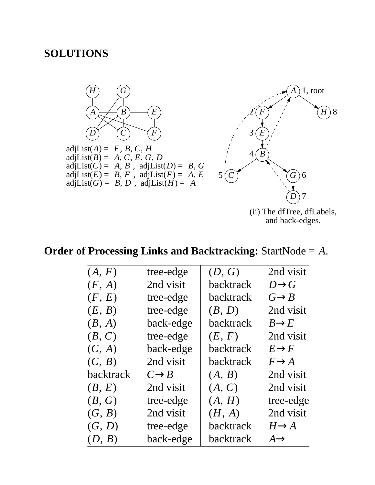## **SOLUTIONS**



and back-edges.

## **Order of Processing Links and Backtracking:** StartNode = *A*.

| (A, F)           | tree-edge         | (D, G)           | 2nd visit         |
|------------------|-------------------|------------------|-------------------|
| (F, A)           | 2nd visit         | backtrack        | $D\rightarrow G$  |
| (F, E)           | tree-edge         | backtrack        | $G \rightarrow B$ |
| (E, B)           | tree-edge         | (B, D)           | 2nd visit         |
| (B, A)           | back-edge         | <b>backtrack</b> | $B\rightarrow E$  |
| (B, C)           | tree-edge         | (E, F)           | 2nd visit         |
| (C, A)           | back-edge         | backtrack        | $E \rightarrow F$ |
| (C, B)           | 2nd visit         | backtrack        | $F \rightarrow A$ |
| <b>backtrack</b> | $C \rightarrow B$ | (A, B)           | 2nd visit         |
| (B, E)           | 2nd visit         | (A, C)           | 2nd visit         |
| (B, G)           | tree-edge         | (A, H)           | tree-edge         |
| (G, B)           | 2nd visit         | (H, A)           | 2nd visit         |
| (G, D)           | tree-edge         | backtrack        | $H\rightarrow A$  |
| (D, B)           | back-edge         | backtrack        | $A \rightarrow$   |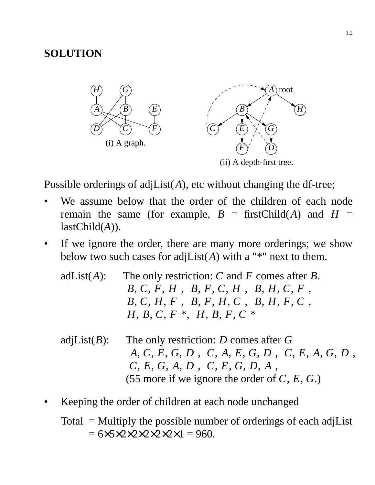## **SOLUTION**



Possible orderings of adjList(A), etc without changing the df-tree;

- We assume below that the order of the children of each node remain the same (for example,  $B =$  firstChild(*A*) and  $H =$ lastChild(*A*)).
- If we ignore the order, there are many more orderings; we show below two such cases for adj $List(A)$  with a "\*" next to them.
	- adList(*A*): The only restriction: *C* and *F* comes after *B*.  $\langle B, C, F, H \rangle$ ,  $\langle B, F, C, H \rangle$ ,  $\langle B, H, C, F \rangle$ , 〈*B*, *C*, *H*, *F*〉, 〈*B*, *F*, *H*, *C*〉, 〈*B*, *H*, *F*, *C*〉,  $\langle H, B, C, F \rangle^*, \langle H, B, F, C \rangle^*$
	- adjList(*B*): The only restriction: *D* comes after *G*  $\langle A, C, E, G, D \rangle$ ,  $\langle C, A, E, G, D \rangle$ ,  $\langle C, E, A, G, D \rangle$ , 〈*C*, *E*, *G*, *A*, *D*〉, 〈*C*, *E*, *G*, *D*, *A*〉, (55 more if we ignore the order of *C*, *E*, *G*.)
- Keeping the order of children at each node unchanged

Total = Multiply the possible number of orderings of each adjList  $= 6 \times 5 \times 2 \times 2 \times 2 \times 2 \times 1 = 960.$